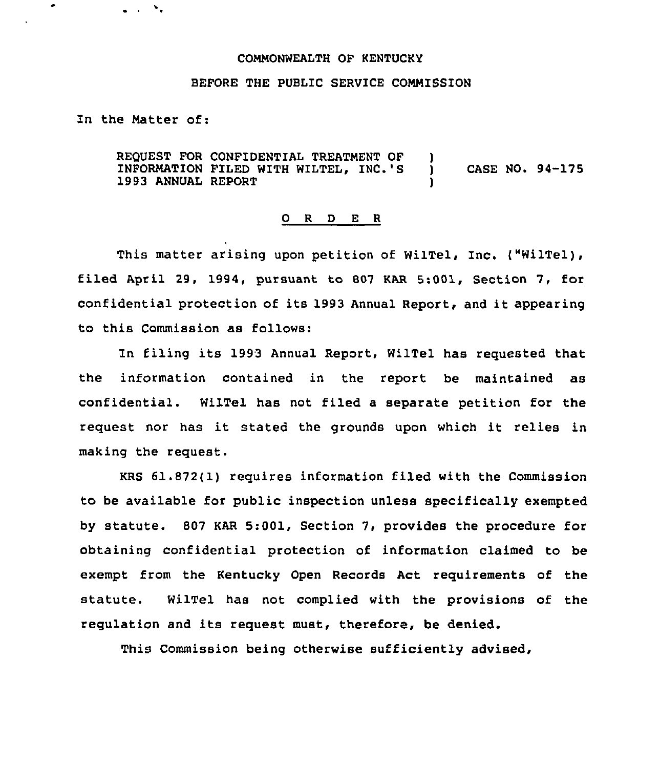## COMMONWEALTH OF KENTUCKY

## BEFORE THE PUBLIC SERVICE COMMISSION

In the Hatter of:

 $\mathcal{N}_\bullet$ 

REQUEST FOR CONFIDENTIAL TREATMENT OF )<br>INFORMATION FILED WITH WILTEL, INC.'S INFORMATION FILED WITH WILTEL, INC.'S ) CASE NO. 94-175 1993 ANNUAL REPORT

## 0 <sup>R</sup> <sup>D</sup> E <sup>R</sup>

This matter arising upon petition of WilTel, Inc. ("WilTel), filed April 29, 1994, pursuant to <sup>007</sup> KAR 5:001, Section 7, for confidential protection of its <sup>1993</sup> Annual Report, and it appearing to this Commission as follows:

In filing its 1993 Annual Report, WilTel has requested that the information contained in the report be maintained as confidential. WilTel has not filed a separate petition for the request nor has it stated the grounds upon which it relies in making the request.

KRS 61.872(1) requires information filed with the Commission to be available for public inspection unless specifically exempted by statute. 807 KAR 5:001, Section 7, provides the procedure for obtaining confidential protection of information claimed to be exempt from the Kentucky Open Records Act requirements of the statute. WilTel has not complied with the provisions of the regulation and its request must, therefore, be denied.

This Commission being otherwise sufficiently advised,